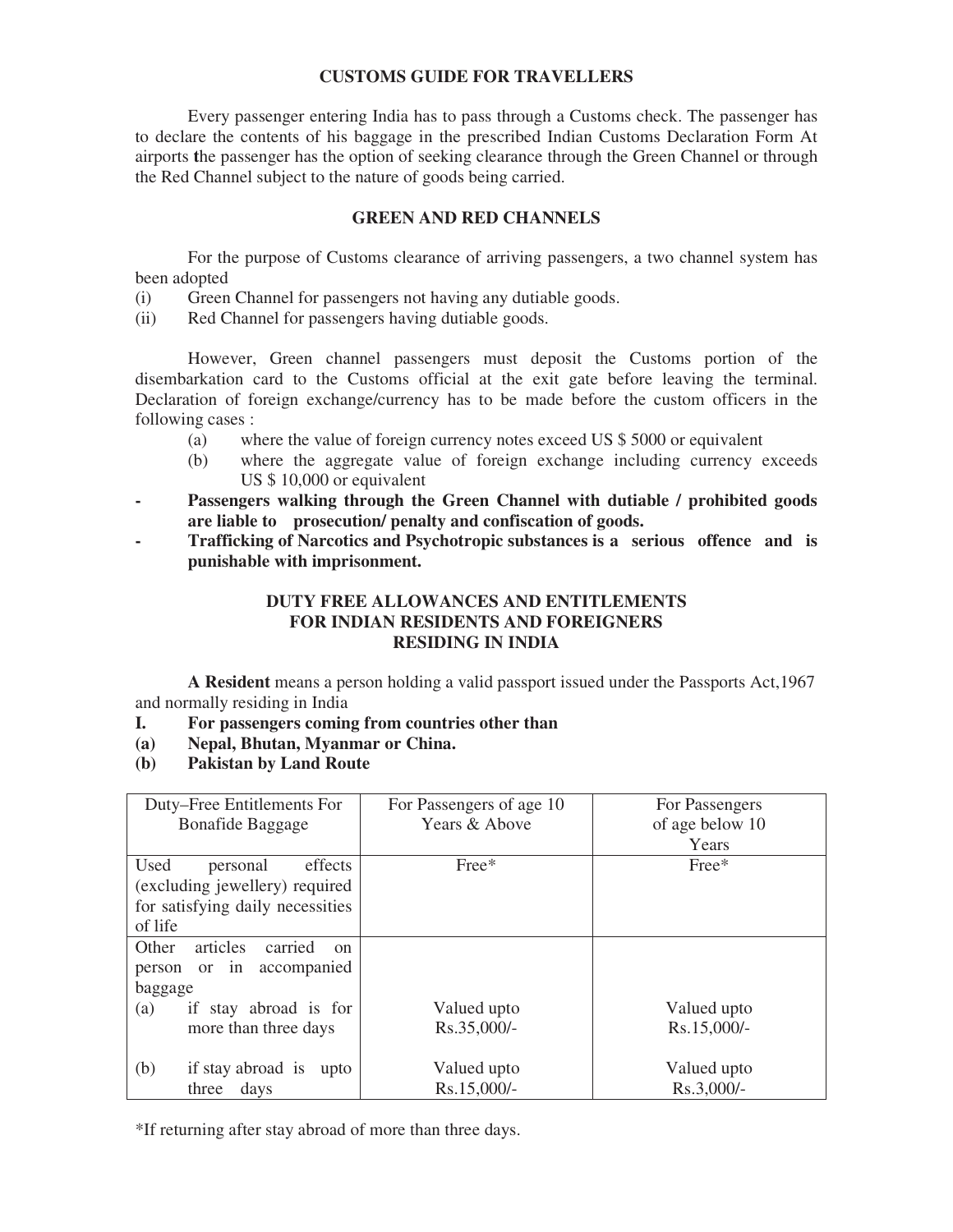## **CUSTOMS GUIDE FOR TRAVELLERS**

 Every passenger entering India has to pass through a Customs check. The passenger has to declare the contents of his baggage in the prescribed Indian Customs Declaration Form At airports **t**he passenger has the option of seeking clearance through the Green Channel or through the Red Channel subject to the nature of goods being carried.

## **GREEN AND RED CHANNELS**

 For the purpose of Customs clearance of arriving passengers, a two channel system has been adopted

- (i) Green Channel for passengers not having any dutiable goods.
- (ii) Red Channel for passengers having dutiable goods.

 However, Green channel passengers must deposit the Customs portion of the disembarkation card to the Customs official at the exit gate before leaving the terminal. Declaration of foreign exchange/currency has to be made before the custom officers in the following cases :

- (a) where the value of foreign currency notes exceed US \$ 5000 or equivalent
- (b) where the aggregate value of foreign exchange including currency exceeds US \$ 10,000 or equivalent
- Passengers walking through the Green Channel with dutiable / prohibited goods  **are liable to prosecution/ penalty and confiscation of goods.**
- **Trafficking of Narcotics and Psychotropic substances is a serious offence and is punishable with imprisonment.**

## **DUTY FREE ALLOWANCES AND ENTITLEMENTS FOR INDIAN RESIDENTS AND FOREIGNERS RESIDING IN INDIA**

**A Resident** means a person holding a valid passport issued under the Passports Act,1967 and normally residing in India

- **I. For passengers coming from countries other than**
- **(a) Nepal, Bhutan, Myanmar or China.**
- **(b) Pakistan by Land Route**

| Duty–Free Entitlements For                    | For Passengers of age 10 | For Passengers  |  |  |
|-----------------------------------------------|--------------------------|-----------------|--|--|
| <b>Bonafide Baggage</b>                       | Years & Above            | of age below 10 |  |  |
|                                               |                          | Years           |  |  |
| Used<br>effects<br>personal                   | $Free*$                  | $Free*$         |  |  |
| (excluding jewellery) required                |                          |                 |  |  |
| for satisfying daily necessities              |                          |                 |  |  |
| of life                                       |                          |                 |  |  |
| Other<br>articles<br>carried<br><sub>on</sub> |                          |                 |  |  |
| person or in<br>accompanied                   |                          |                 |  |  |
| baggage                                       |                          |                 |  |  |
| if stay abroad is for<br>(a)                  | Valued upto              | Valued upto     |  |  |
| more than three days                          | Rs.35,000/-              | Rs.15,000/-     |  |  |
|                                               |                          |                 |  |  |
| if stay abroad is<br>(b)<br>upto              | Valued upto              | Valued upto     |  |  |
| three<br>days                                 | Rs.15,000/-              | Rs.3,000/-      |  |  |

\*If returning after stay abroad of more than three days.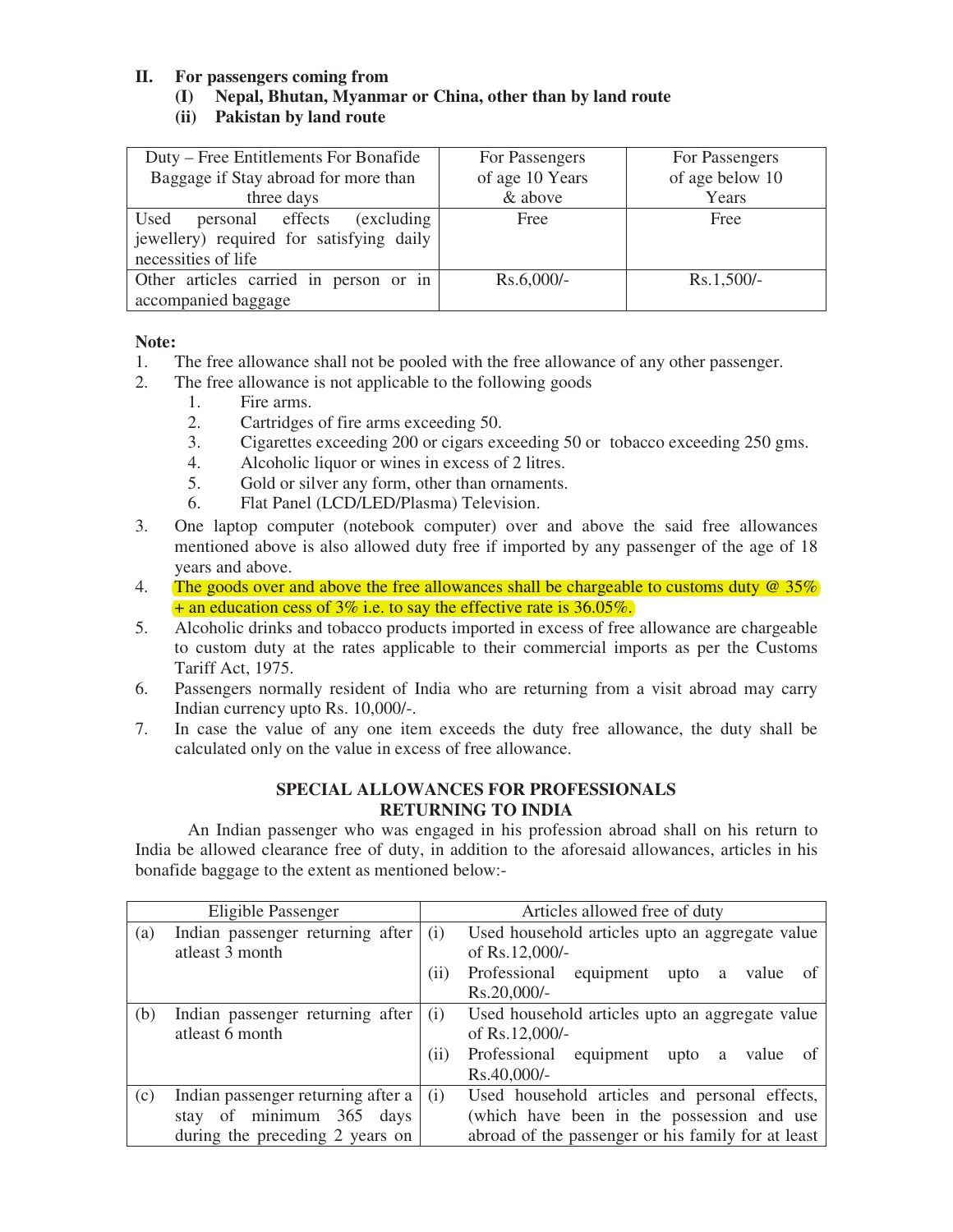## **II. For passengers coming from**

## **(I) Nepal, Bhutan, Myanmar or China, other than by land route**

**(ii) Pakistan by land route** 

| Duty – Free Entitlements For Bonafide    | For Passengers  | For Passengers  |
|------------------------------------------|-----------------|-----------------|
| Baggage if Stay abroad for more than     | of age 10 Years | of age below 10 |
| three days                               | & above         | Years           |
| Used<br>personal effects<br>(excluding)  | Free            | Free            |
| jewellery) required for satisfying daily |                 |                 |
| necessities of life                      |                 |                 |
| Other articles carried in person or in   | $Rs.6,000/-$    | $Rs.1,500/-$    |
| accompanied baggage                      |                 |                 |

### **Note:**

- 1. The free allowance shall not be pooled with the free allowance of any other passenger.
- 2. The free allowance is not applicable to the following goods
	- 1. Fire arms.
	- 2. Cartridges of fire arms exceeding 50.
	- 3. Cigarettes exceeding 200 or cigars exceeding 50 or tobacco exceeding 250 gms.
	- 4. Alcoholic liquor or wines in excess of 2 litres.
	- 5. Gold or silver any form, other than ornaments.
	- 6. Flat Panel (LCD/LED/Plasma) Television.
- 3. One laptop computer (notebook computer) over and above the said free allowances mentioned above is also allowed duty free if imported by any passenger of the age of 18 years and above.
- 4. The goods over and above the free allowances shall be chargeable to customs duty @ 35% + an education cess of 3% i.e. to say the effective rate is 36.05%.
- 5. Alcoholic drinks and tobacco products imported in excess of free allowance are chargeable to custom duty at the rates applicable to their commercial imports as per the Customs Tariff Act, 1975.
- 6. Passengers normally resident of India who are returning from a visit abroad may carry Indian currency upto Rs. 10,000/-.
- 7. In case the value of any one item exceeds the duty free allowance, the duty shall be calculated only on the value in excess of free allowance.

## **SPECIAL ALLOWANCES FOR PROFESSIONALS RETURNING TO INDIA**

 An Indian passenger who was engaged in his profession abroad shall on his return to India be allowed clearance free of duty, in addition to the aforesaid allowances, articles in his bonafide baggage to the extent as mentioned below:-

|                                 | Eligible Passenger                 | Articles allowed free of duty |                                                    |  |
|---------------------------------|------------------------------------|-------------------------------|----------------------------------------------------|--|
| (a)                             | Indian passenger returning after   | (i)                           | Used household articles upto an aggregate value    |  |
|                                 | atleast 3 month                    |                               | of Rs.12,000/-                                     |  |
|                                 |                                    | (i)                           | Professional<br>equipment<br>value<br>upto<br>a    |  |
|                                 |                                    |                               | Rs.20,000/-                                        |  |
| (b)                             | Indian passenger returning after   | (i)                           | Used household articles upto an aggregate value    |  |
|                                 | atleast 6 month                    |                               | of Rs.12,000/-                                     |  |
|                                 |                                    | (i)                           | equipment<br>Professional<br>value<br>upto<br>a    |  |
|                                 |                                    |                               | Rs.40,000/-                                        |  |
| (c)                             | Indian passenger returning after a | (i)                           | Used household articles and personal effects,      |  |
|                                 | stay of minimum 365 days           |                               | (which have been in the possession and use         |  |
| during the preceding 2 years on |                                    |                               | abroad of the passenger or his family for at least |  |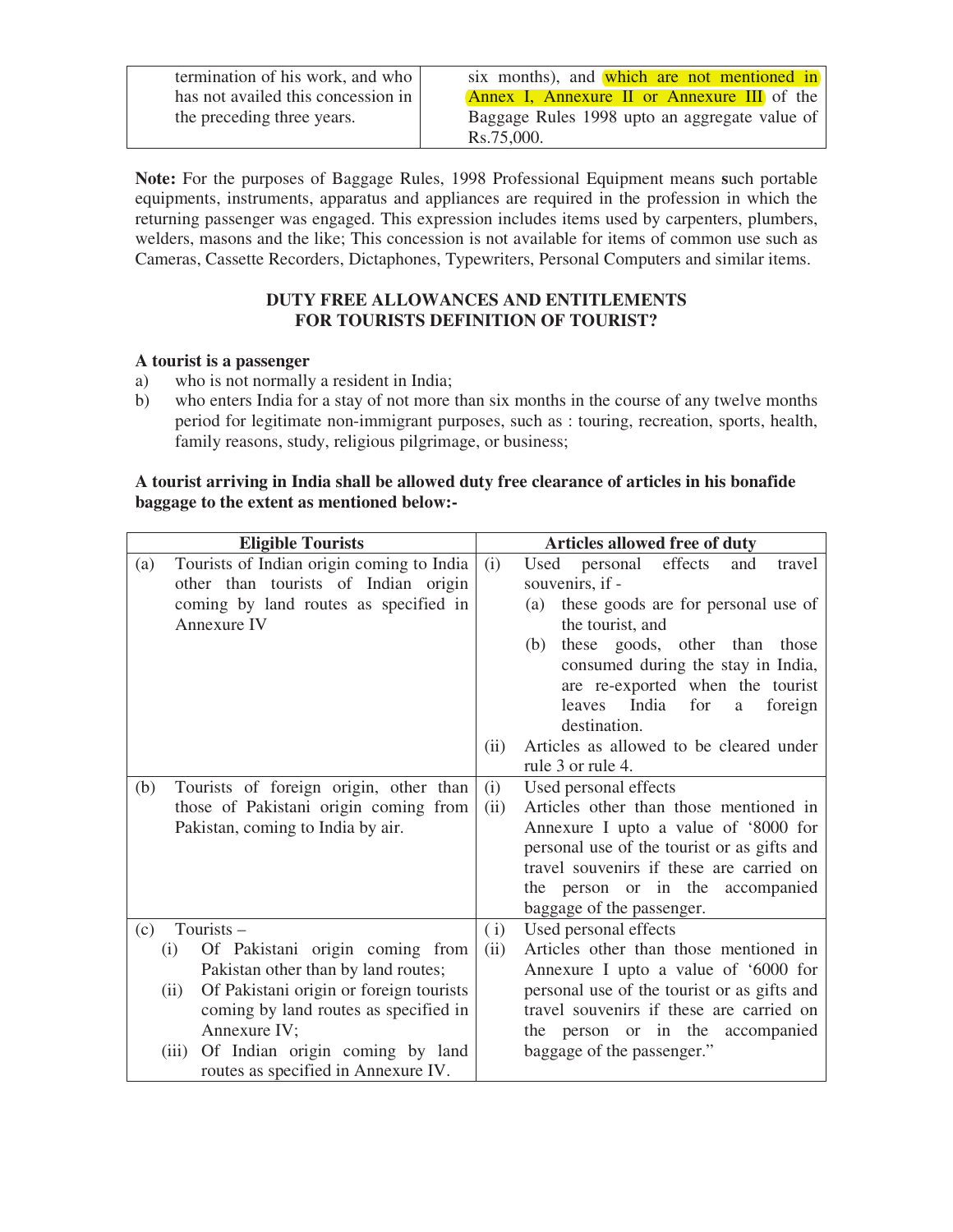| termination of his work, and who   |
|------------------------------------|
| has not availed this concession in |
| the preceding three years.         |

six months), and which are not mentioned in Annex I, Annexure II or Annexure III of the Baggage Rules 1998 upto an aggregate value of Rs.75,000.

**Note:** For the purposes of Baggage Rules, 1998 Professional Equipment means **s**uch portable equipments, instruments, apparatus and appliances are required in the profession in which the returning passenger was engaged. This expression includes items used by carpenters, plumbers, welders, masons and the like; This concession is not available for items of common use such as Cameras, Cassette Recorders, Dictaphones, Typewriters, Personal Computers and similar items.

# **DUTY FREE ALLOWANCES AND ENTITLEMENTS FOR TOURISTS DEFINITION OF TOURIST?**

## **A tourist is a passenger**

- a) who is not normally a resident in India;
- b) who enters India for a stay of not more than six months in the course of any twelve months period for legitimate non-immigrant purposes, such as : touring, recreation, sports, health, family reasons, study, religious pilgrimage, or business;

## **A tourist arriving in India shall be allowed duty free clearance of articles in his bonafide baggage to the extent as mentioned below:-**

| <b>Eligible Tourists</b> |                                                                                | Articles allowed free of duty |                                                                                         |
|--------------------------|--------------------------------------------------------------------------------|-------------------------------|-----------------------------------------------------------------------------------------|
| (a)                      | Tourists of Indian origin coming to India                                      | (i)                           | personal<br>effects<br>and<br>Used<br>travel                                            |
|                          | other than tourists of Indian origin                                           |                               | souvenirs, if -                                                                         |
|                          | coming by land routes as specified in                                          |                               | these goods are for personal use of<br>(a)                                              |
|                          | Annexure IV                                                                    |                               | the tourist, and                                                                        |
|                          |                                                                                |                               | these goods, other than<br>(b)<br>those                                                 |
|                          |                                                                                |                               | consumed during the stay in India,                                                      |
|                          |                                                                                |                               | are re-exported when the tourist                                                        |
|                          |                                                                                |                               | leaves India<br>for<br>foreign<br>a                                                     |
|                          |                                                                                |                               | destination.                                                                            |
|                          |                                                                                | (ii)                          | Articles as allowed to be cleared under                                                 |
|                          |                                                                                |                               | rule 3 or rule 4.                                                                       |
| (b)                      | Tourists of foreign origin, other than                                         | (i)                           | Used personal effects                                                                   |
|                          | those of Pakistani origin coming from                                          | (ii)                          | Articles other than those mentioned in                                                  |
|                          | Pakistan, coming to India by air.                                              |                               | Annexure I upto a value of '8000 for                                                    |
|                          |                                                                                |                               | personal use of the tourist or as gifts and                                             |
|                          |                                                                                |                               | travel souvenirs if these are carried on                                                |
|                          |                                                                                |                               | the person or in the accompanied                                                        |
|                          |                                                                                |                               | baggage of the passenger.                                                               |
| (c)                      | Tourists-                                                                      | (i)                           | Used personal effects<br>Articles other than those mentioned in                         |
|                          | Of Pakistani origin coming from<br>(i)                                         | (ii)                          |                                                                                         |
|                          | Pakistan other than by land routes;<br>Of Pakistani origin or foreign tourists |                               | Annexure I upto a value of '6000 for                                                    |
|                          | (ii)<br>coming by land routes as specified in                                  |                               | personal use of the tourist or as gifts and<br>travel souvenirs if these are carried on |
|                          | Annexure IV;                                                                   |                               | the person or in the accompanied                                                        |
|                          | Of Indian origin coming by land<br>(iii)                                       |                               | baggage of the passenger."                                                              |
|                          | routes as specified in Annexure IV.                                            |                               |                                                                                         |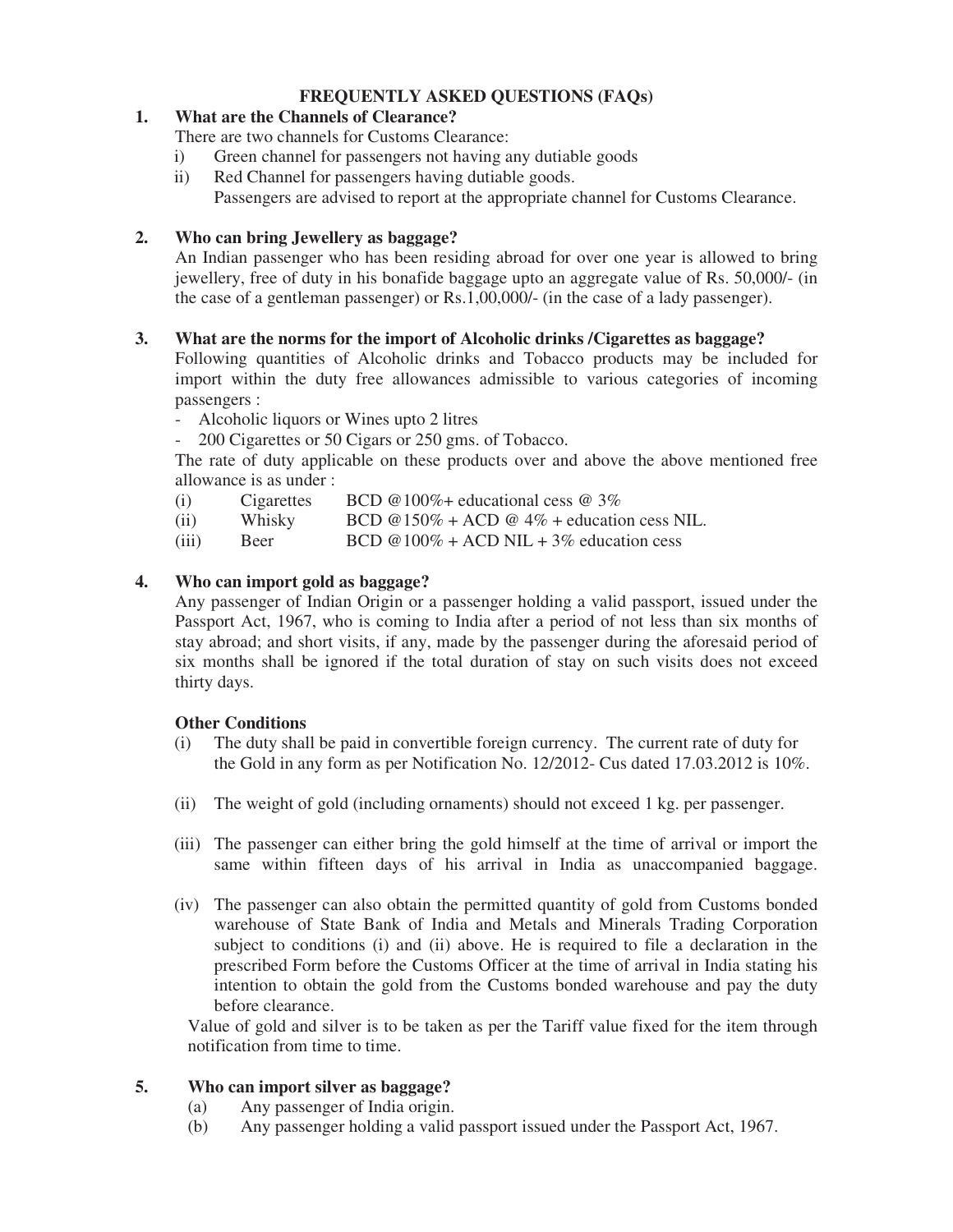# **FREQUENTLY ASKED QUESTIONS (FAQs)**

## **1. What are the Channels of Clearance?**

There are two channels for Customs Clearance:

- i) Green channel for passengers not having any dutiable goods
- ii) Red Channel for passengers having dutiable goods.
	- Passengers are advised to report at the appropriate channel for Customs Clearance.

## **2. Who can bring Jewellery as baggage?**

 An Indian passenger who has been residing abroad for over one year is allowed to bring jewellery, free of duty in his bonafide baggage upto an aggregate value of Rs. 50,000/- (in the case of a gentleman passenger) or Rs.1,00,000/- (in the case of a lady passenger).

## **3. What are the norms for the import of Alcoholic drinks /Cigarettes as baggage?**

 Following quantities of Alcoholic drinks and Tobacco products may be included for import within the duty free allowances admissible to various categories of incoming passengers :

- Alcoholic liquors or Wines upto 2 litres

- 200 Cigarettes or 50 Cigars or 250 gms. of Tobacco.

 The rate of duty applicable on these products over and above the above mentioned free allowance is as under :

- (i) Cigarettes BCD  $@100\% +$  educational cess  $@3\%$
- (ii) Whisky BCD  $@150\% + ACD @4\% + education \cess NIL$ .
- (iii) Beer BCD  $@100\% + ACD$  NIL + 3% education cess

## **4. Who can import gold as baggage?**

 Any passenger of Indian Origin or a passenger holding a valid passport, issued under the Passport Act, 1967, who is coming to India after a period of not less than six months of stay abroad; and short visits, if any, made by the passenger during the aforesaid period of six months shall be ignored if the total duration of stay on such visits does not exceed thirty days.

### **Other Conditions**

- (i) The duty shall be paid in convertible foreign currency. The current rate of duty for the Gold in any form as per Notification No. 12/2012- Cus dated 17.03.2012 is 10%.
- (ii) The weight of gold (including ornaments) should not exceed 1 kg. per passenger.
- (iii) The passenger can either bring the gold himself at the time of arrival or import the same within fifteen days of his arrival in India as unaccompanied baggage.
- (iv) The passenger can also obtain the permitted quantity of gold from Customs bonded warehouse of State Bank of India and Metals and Minerals Trading Corporation subject to conditions (i) and (ii) above. He is required to file a declaration in the prescribed Form before the Customs Officer at the time of arrival in India stating his intention to obtain the gold from the Customs bonded warehouse and pay the duty before clearance.

 Value of gold and silver is to be taken as per the Tariff value fixed for the item through notification from time to time.

## **5. Who can import silver as baggage?**

- (a) Any passenger of India origin.
- (b) Any passenger holding a valid passport issued under the Passport Act, 1967.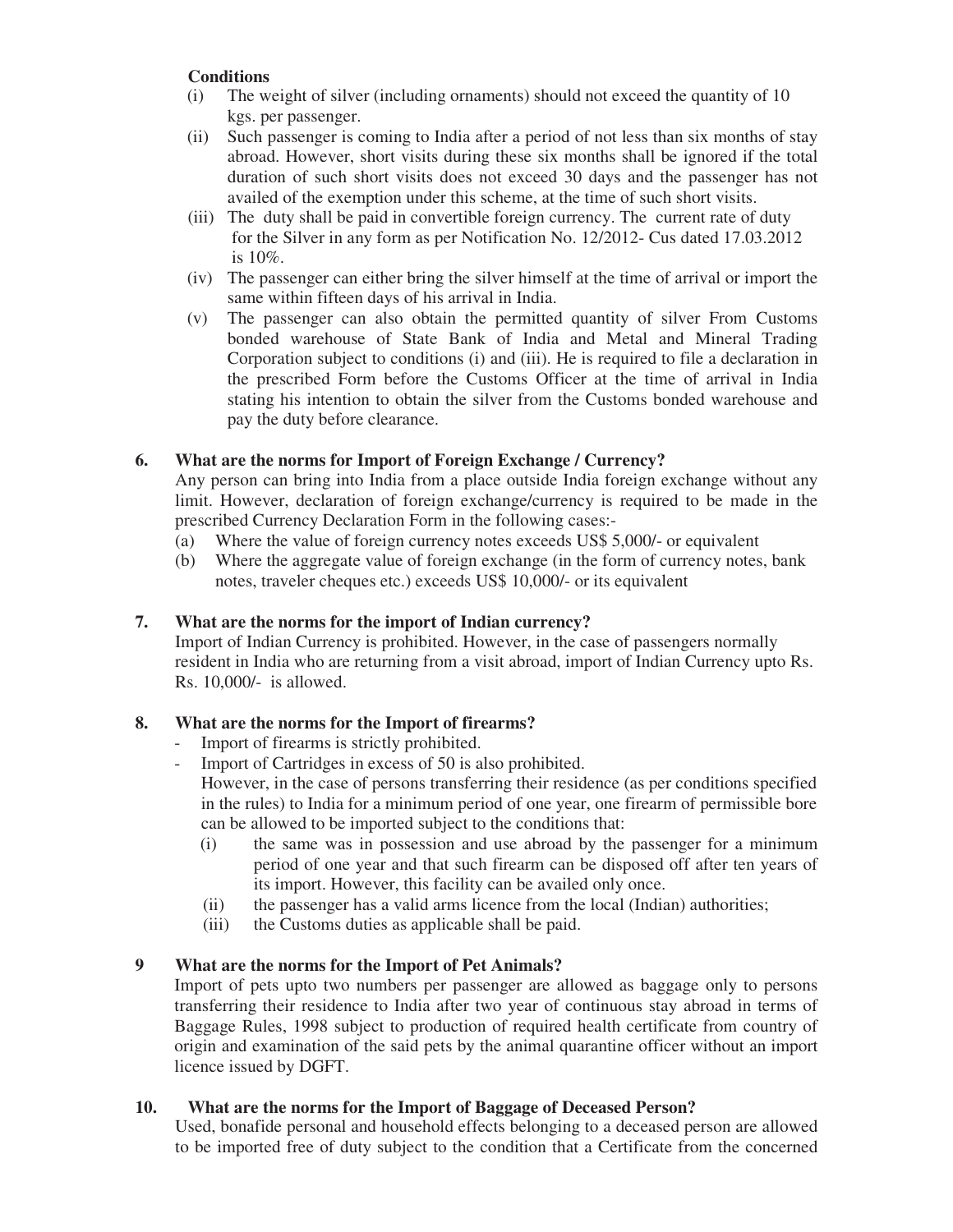# **Conditions**

- (i) The weight of silver (including ornaments) should not exceed the quantity of 10 kgs. per passenger.
- (ii) Such passenger is coming to India after a period of not less than six months of stay abroad. However, short visits during these six months shall be ignored if the total duration of such short visits does not exceed 30 days and the passenger has not availed of the exemption under this scheme, at the time of such short visits.
- (iii) The duty shall be paid in convertible foreign currency. The current rate of duty for the Silver in any form as per Notification No. 12/2012- Cus dated 17.03.2012 is 10%.
- (iv) The passenger can either bring the silver himself at the time of arrival or import the same within fifteen days of his arrival in India.
- (v) The passenger can also obtain the permitted quantity of silver From Customs bonded warehouse of State Bank of India and Metal and Mineral Trading Corporation subject to conditions (i) and (iii). He is required to file a declaration in the prescribed Form before the Customs Officer at the time of arrival in India stating his intention to obtain the silver from the Customs bonded warehouse and pay the duty before clearance.

# **6. What are the norms for Import of Foreign Exchange / Currency?**

 Any person can bring into India from a place outside India foreign exchange without any limit. However, declaration of foreign exchange/currency is required to be made in the prescribed Currency Declaration Form in the following cases:-

- (a) Where the value of foreign currency notes exceeds US\$ 5,000/- or equivalent
- (b) Where the aggregate value of foreign exchange (in the form of currency notes, bank notes, traveler cheques etc.) exceeds US\$ 10,000/- or its equivalent

# **7. What are the norms for the import of Indian currency?**

 Import of Indian Currency is prohibited. However, in the case of passengers normally resident in India who are returning from a visit abroad, import of Indian Currency upto Rs. Rs. 10,000/- is allowed.

## **8. What are the norms for the Import of firearms?**

- Import of firearms is strictly prohibited.
- Import of Cartridges in excess of 50 is also prohibited.

 However, in the case of persons transferring their residence (as per conditions specified in the rules) to India for a minimum period of one year, one firearm of permissible bore can be allowed to be imported subject to the conditions that:

- (i) the same was in possession and use abroad by the passenger for a minimum period of one year and that such firearm can be disposed off after ten years of its import. However, this facility can be availed only once.
- (ii) the passenger has a valid arms licence from the local (Indian) authorities;
- (iii) the Customs duties as applicable shall be paid.

## **9 What are the norms for the Import of Pet Animals?**

 Import of pets upto two numbers per passenger are allowed as baggage only to persons transferring their residence to India after two year of continuous stay abroad in terms of Baggage Rules, 1998 subject to production of required health certificate from country of origin and examination of the said pets by the animal quarantine officer without an import licence issued by DGFT.

## **10. What are the norms for the Import of Baggage of Deceased Person?**

 Used, bonafide personal and household effects belonging to a deceased person are allowed to be imported free of duty subject to the condition that a Certificate from the concerned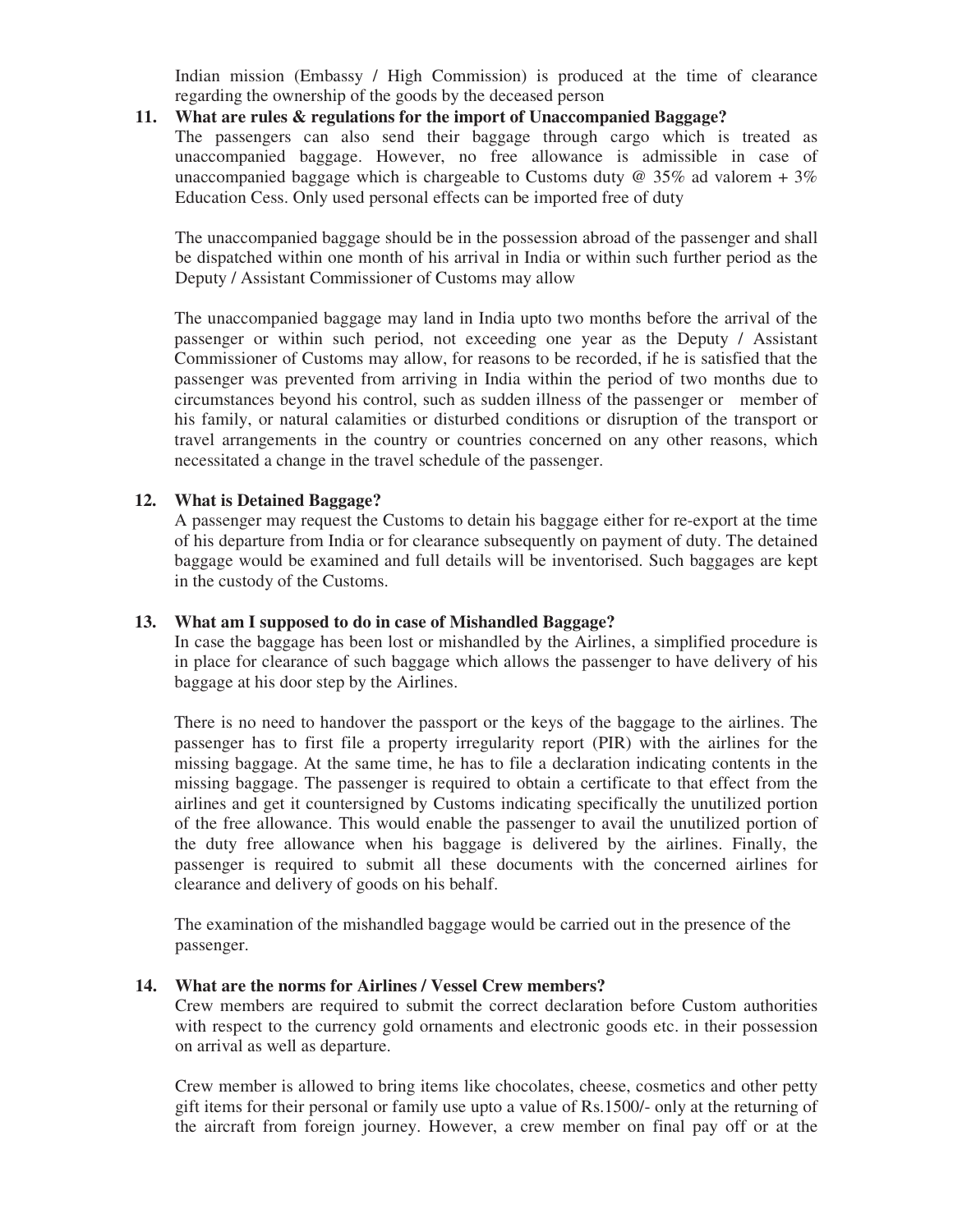Indian mission (Embassy / High Commission) is produced at the time of clearance regarding the ownership of the goods by the deceased person

### **11. What are rules & regulations for the import of Unaccompanied Baggage?**

 The passengers can also send their baggage through cargo which is treated as unaccompanied baggage. However, no free allowance is admissible in case of unaccompanied baggage which is chargeable to Customs duty  $\omega$  35% ad valorem + 3% Education Cess. Only used personal effects can be imported free of duty

The unaccompanied baggage should be in the possession abroad of the passenger and shall be dispatched within one month of his arrival in India or within such further period as the Deputy / Assistant Commissioner of Customs may allow

The unaccompanied baggage may land in India upto two months before the arrival of the passenger or within such period, not exceeding one year as the Deputy / Assistant Commissioner of Customs may allow, for reasons to be recorded, if he is satisfied that the passenger was prevented from arriving in India within the period of two months due to circumstances beyond his control, such as sudden illness of the passenger or member of his family, or natural calamities or disturbed conditions or disruption of the transport or travel arrangements in the country or countries concerned on any other reasons, which necessitated a change in the travel schedule of the passenger.

#### **12. What is Detained Baggage?**

 A passenger may request the Customs to detain his baggage either for re-export at the time of his departure from India or for clearance subsequently on payment of duty. The detained baggage would be examined and full details will be inventorised. Such baggages are kept in the custody of the Customs.

#### **13. What am I supposed to do in case of Mishandled Baggage?**

 In case the baggage has been lost or mishandled by the Airlines, a simplified procedure is in place for clearance of such baggage which allows the passenger to have delivery of his baggage at his door step by the Airlines.

 There is no need to handover the passport or the keys of the baggage to the airlines. The passenger has to first file a property irregularity report (PIR) with the airlines for the missing baggage. At the same time, he has to file a declaration indicating contents in the missing baggage. The passenger is required to obtain a certificate to that effect from the airlines and get it countersigned by Customs indicating specifically the unutilized portion of the free allowance. This would enable the passenger to avail the unutilized portion of the duty free allowance when his baggage is delivered by the airlines. Finally, the passenger is required to submit all these documents with the concerned airlines for clearance and delivery of goods on his behalf.

 The examination of the mishandled baggage would be carried out in the presence of the passenger.

#### **14. What are the norms for Airlines / Vessel Crew members?**

 Crew members are required to submit the correct declaration before Custom authorities with respect to the currency gold ornaments and electronic goods etc. in their possession on arrival as well as departure.

 Crew member is allowed to bring items like chocolates, cheese, cosmetics and other petty gift items for their personal or family use upto a value of Rs.1500/- only at the returning of the aircraft from foreign journey. However, a crew member on final pay off or at the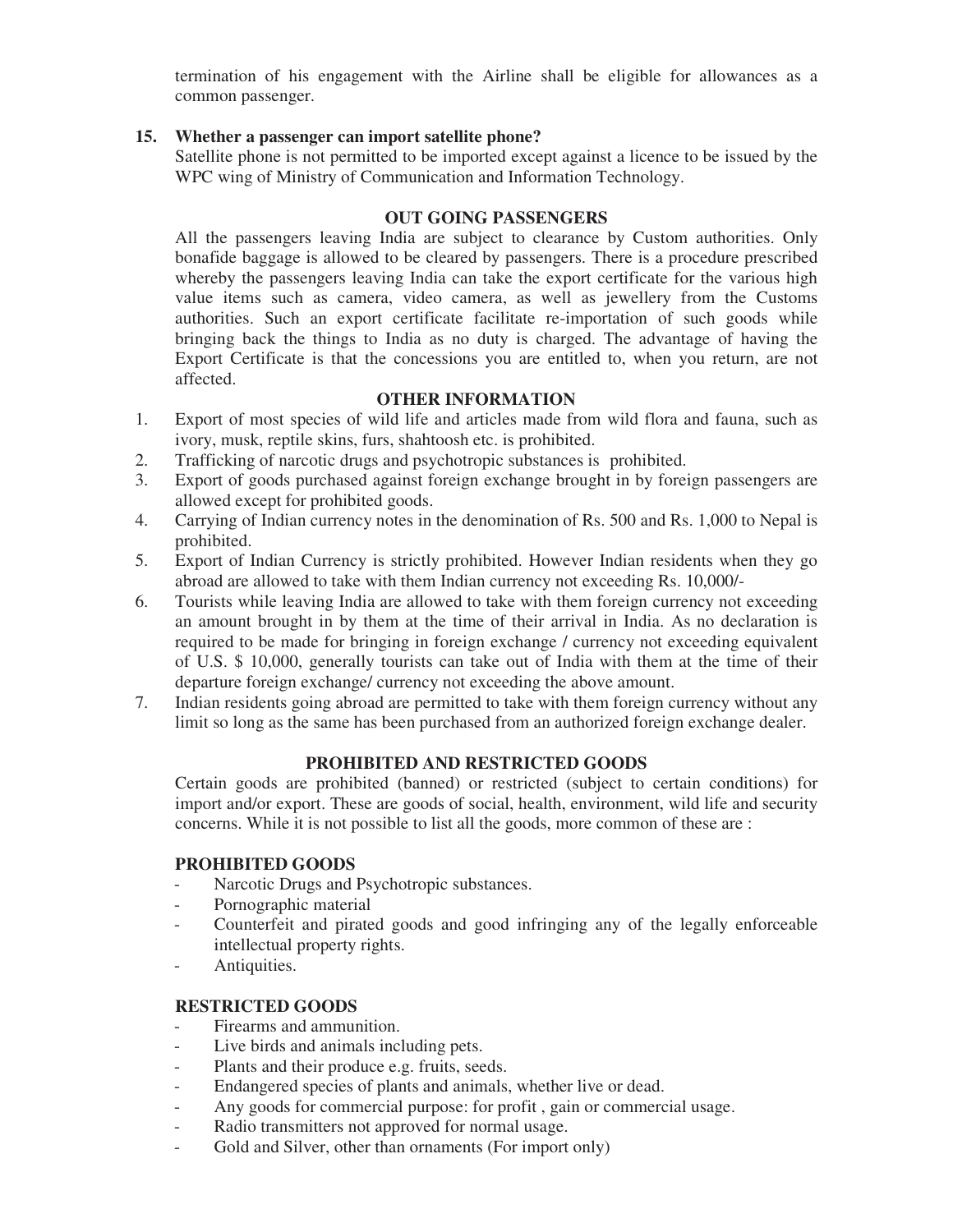termination of his engagement with the Airline shall be eligible for allowances as a common passenger.

### **15. Whether a passenger can import satellite phone?**

 Satellite phone is not permitted to be imported except against a licence to be issued by the WPC wing of Ministry of Communication and Information Technology.

## **OUT GOING PASSENGERS**

 All the passengers leaving India are subject to clearance by Custom authorities. Only bonafide baggage is allowed to be cleared by passengers. There is a procedure prescribed whereby the passengers leaving India can take the export certificate for the various high value items such as camera, video camera, as well as jewellery from the Customs authorities. Such an export certificate facilitate re-importation of such goods while bringing back the things to India as no duty is charged. The advantage of having the Export Certificate is that the concessions you are entitled to, when you return, are not affected.

## **OTHER INFORMATION**

- 1. Export of most species of wild life and articles made from wild flora and fauna, such as ivory, musk, reptile skins, furs, shahtoosh etc. is prohibited.
- 2. Trafficking of narcotic drugs and psychotropic substances is prohibited.
- 3. Export of goods purchased against foreign exchange brought in by foreign passengers are allowed except for prohibited goods.
- 4. Carrying of Indian currency notes in the denomination of Rs. 500 and Rs. 1,000 to Nepal is prohibited.
- 5. Export of Indian Currency is strictly prohibited. However Indian residents when they go abroad are allowed to take with them Indian currency not exceeding Rs. 10,000/-
- 6. Tourists while leaving India are allowed to take with them foreign currency not exceeding an amount brought in by them at the time of their arrival in India. As no declaration is required to be made for bringing in foreign exchange / currency not exceeding equivalent of U.S. \$ 10,000, generally tourists can take out of India with them at the time of their departure foreign exchange/ currency not exceeding the above amount.
- 7. Indian residents going abroad are permitted to take with them foreign currency without any limit so long as the same has been purchased from an authorized foreign exchange dealer.

### **PROHIBITED AND RESTRICTED GOODS**

 Certain goods are prohibited (banned) or restricted (subject to certain conditions) for import and/or export. These are goods of social, health, environment, wild life and security concerns. While it is not possible to list all the goods, more common of these are :

### **PROHIBITED GOODS**

- Narcotic Drugs and Psychotropic substances.
- Pornographic material
- Counterfeit and pirated goods and good infringing any of the legally enforceable intellectual property rights.
- Antiquities.

## **RESTRICTED GOODS**

- Firearms and ammunition.
- Live birds and animals including pets.
- Plants and their produce e.g. fruits, seeds.
- Endangered species of plants and animals, whether live or dead.
- Any goods for commercial purpose: for profit , gain or commercial usage.
- Radio transmitters not approved for normal usage.
- Gold and Silver, other than ornaments (For import only)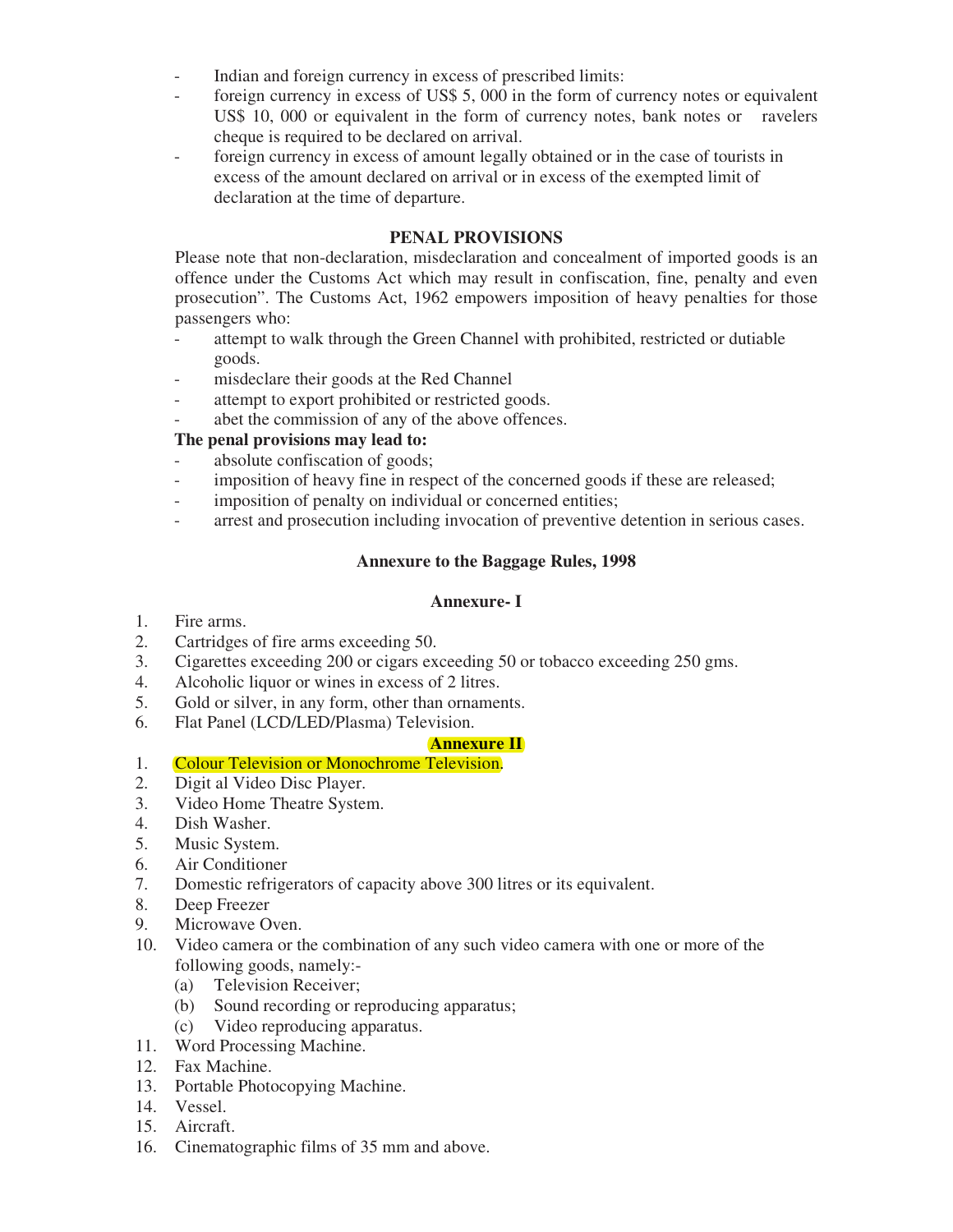- Indian and foreign currency in excess of prescribed limits:

- foreign currency in excess of US\$ 5, 000 in the form of currency notes or equivalent US\$ 10, 000 or equivalent in the form of currency notes, bank notes or ravelers cheque is required to be declared on arrival.
- foreign currency in excess of amount legally obtained or in the case of tourists in excess of the amount declared on arrival or in excess of the exempted limit of declaration at the time of departure.

## **PENAL PROVISIONS**

 Please note that non-declaration, misdeclaration and concealment of imported goods is an offence under the Customs Act which may result in confiscation, fine, penalty and even prosecution". The Customs Act, 1962 empowers imposition of heavy penalties for those passengers who:

- attempt to walk through the Green Channel with prohibited, restricted or dutiable goods.
- misdeclare their goods at the Red Channel
- attempt to export prohibited or restricted goods.
- abet the commission of any of the above offences.

# **The penal provisions may lead to:**

- absolute confiscation of goods;
- imposition of heavy fine in respect of the concerned goods if these are released;
- imposition of penalty on individual or concerned entities;
- arrest and prosecution including invocation of preventive detention in serious cases.

## **Annexure to the Baggage Rules, 1998**

### **Annexure- I**

- 1. Fire arms.
- 2. Cartridges of fire arms exceeding 50.
- 3. Cigarettes exceeding 200 or cigars exceeding 50 or tobacco exceeding 250 gms.
- 4. Alcoholic liquor or wines in excess of 2 litres.
- 5. Gold or silver, in any form, other than ornaments.
- 6. Flat Panel (LCD/LED/Plasma) Television.

### **Annexure II**

## 1. Colour Television or Monochrome Television.

- 2. Digit al Video Disc Player.
- 3. Video Home Theatre System.
- 4. Dish Washer.
- 5. Music System.
- 6. Air Conditioner
- 7. Domestic refrigerators of capacity above 300 litres or its equivalent.
- 8. Deep Freezer
- 9. Microwave Oven.
- 10. Video camera or the combination of any such video camera with one or more of the following goods, namely:-
	- (a) Television Receiver;
	- (b) Sound recording or reproducing apparatus;
	- (c) Video reproducing apparatus.
- 11. Word Processing Machine.
- 12. Fax Machine.
- 13. Portable Photocopying Machine.
- 14. Vessel.
- 15. Aircraft.
- 16. Cinematographic films of 35 mm and above.